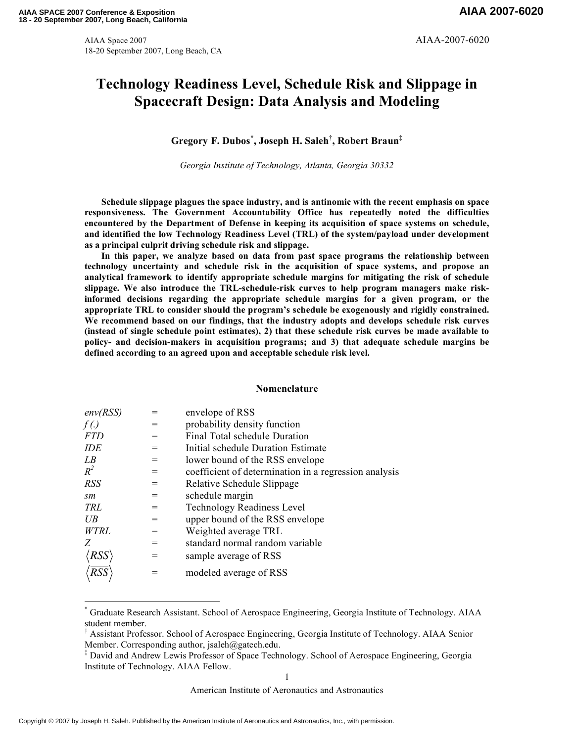AIAA Space 2007 AIAA-2007-6020 18-20 September 2007, Long Beach, CA

# **Technology Readiness Level, Schedule Risk and Slippage in Spacecraft Design: Data Analysis and Modeling**

# **Gregory F. Dubos \* , Joseph H. Saleh† , Robert Braun‡**

*Georgia Institute of Technology, Atlanta, Georgia 30332*

**Schedule slippage plagues the space industry, and is antinomic with the recent emphasis on space responsiveness. The Government Accountability Office has repeatedly noted the difficulties encountered by the Department of Defense in keeping its acquisition of space systems on schedule, and identified the low Technology Readiness Level (TRL) of the system/payload under development as a principal culprit driving schedule risk and slippage.**

**In this paper, we analyze based on data from past space programs the relationship between technology uncertainty and schedule risk in the acquisition of space systems, and propose an analytical framework to identify appropriate schedule margins for mitigating the risk of schedule slippage. We also introduce the TRL-schedule-risk curves to help program managers make riskinformed decisions regarding the appropriate schedule margins for a given program, or the appropriate TRL to consider should the program's schedule be exogenously and rigidly constrained. We recommend based on our findings, that the industry adopts and develops schedule risk curves (instead of single schedule point estimates), 2) that these schedule risk curves be made available to policy- and decision-makers in acquisition programs; and 3) that adequate schedule margins be defined according to an agreed upon and acceptable schedule risk level.**

#### **Nomenclature**

| env(RSS)    |     | envelope of RSS                                       |
|-------------|-----|-------------------------------------------------------|
| f(.)        |     | probability density function                          |
| <b>FTD</b>  |     | Final Total schedule Duration                         |
| <b>IDE</b>  | $=$ | Initial schedule Duration Estimate                    |
| LB          | $=$ | lower bound of the RSS envelope                       |
| $R^2$       |     | coefficient of determination in a regression analysis |
| <b>RSS</b>  | $=$ | Relative Schedule Slippage                            |
| sm          |     | schedule margin                                       |
| <b>TRL</b>  |     | <b>Technology Readiness Level</b>                     |
| $U\!B$      | $=$ | upper bound of the RSS envelope                       |
| <b>WTRL</b> | $=$ | Weighted average TRL                                  |
| Z           |     | standard normal random variable                       |
| <b>RSS</b>  | $=$ | sample average of RSS                                 |
| <b>RSS</b>  | $=$ | modeled average of RSS                                |

 <sup>\*</sup> Graduate Research Assistant. School of Aerospace Engineering, Georgia Institute of Technology. AIAA student member. † Assistant Professor. School of Aerospace Engineering, Georgia Institute of Technology. AIAA Senior

American Institute of Aeronautics and Astronautics

Member. Corresponding author, jsaleh@gatech.edu.<br>‡ David and Andrew Lewis Professor of Space Technology. School of Aerospace Engineering, Georgia

Institute of Technology. AIAA Fellow.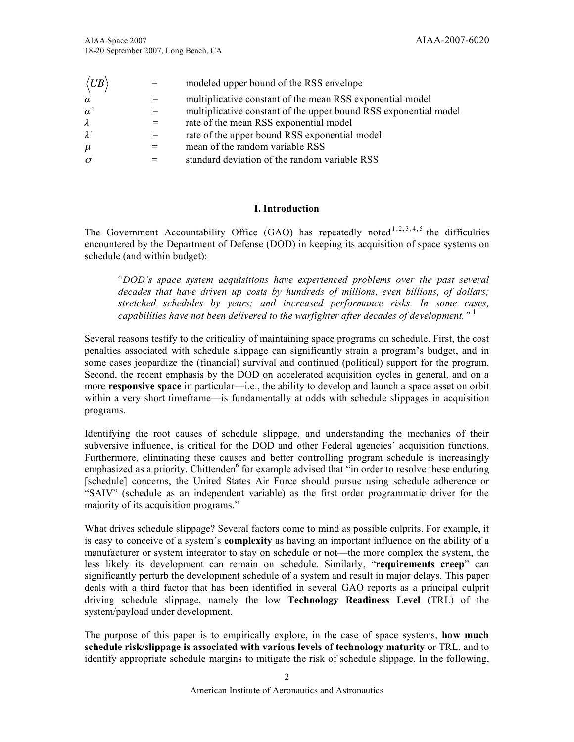| $\langle UB \rangle$ |   | modeled upper bound of the RSS envelope                          |
|----------------------|---|------------------------------------------------------------------|
| $\alpha$             |   | multiplicative constant of the mean RSS exponential model        |
| $\alpha'$            | = | multiplicative constant of the upper bound RSS exponential model |
| $\lambda$            |   | rate of the mean RSS exponential model                           |
| $\lambda'$           | = | rate of the upper bound RSS exponential model                    |
| $\mu$                |   | mean of the random variable RSS                                  |
|                      |   | standard deviation of the random variable RSS                    |
|                      |   |                                                                  |

# **I. Introduction**

The Government Accountability Office (GAO) has repeatedly noted<sup>1,2,3,4,5</sup> the difficulties encountered by the Department of Defense (DOD) in keeping its acquisition of space systems on schedule (and within budget):

"*DOD's space system acquisitions have experienced problems over the past several decades that have driven up costs by hundreds of millions, even billions, of dollars; stretched schedules by years; and increased performance risks. In some cases, capabilities have not been delivered to the warfighter after decades of development."* <sup>1</sup>

Several reasons testify to the criticality of maintaining space programs on schedule. First, the cost penalties associated with schedule slippage can significantly strain a program's budget, and in some cases jeopardize the (financial) survival and continued (political) support for the program. Second, the recent emphasis by the DOD on accelerated acquisition cycles in general, and on a more **responsive space** in particular—i.e., the ability to develop and launch a space asset on orbit within a very short timeframe—is fundamentally at odds with schedule slippages in acquisition programs.

Identifying the root causes of schedule slippage, and understanding the mechanics of their subversive influence, is critical for the DOD and other Federal agencies' acquisition functions. Furthermore, eliminating these causes and better controlling program schedule is increasingly emphasized as a priority. Chittenden<sup>6</sup> for example advised that "in order to resolve these enduring [schedule] concerns, the United States Air Force should pursue using schedule adherence or "SAIV" (schedule as an independent variable) as the first order programmatic driver for the majority of its acquisition programs."

What drives schedule slippage? Several factors come to mind as possible culprits. For example, it is easy to conceive of a system's **complexity** as having an important influence on the ability of a manufacturer or system integrator to stay on schedule or not—the more complex the system, the less likely its development can remain on schedule. Similarly, "**requirements creep**" can significantly perturb the development schedule of a system and result in major delays. This paper deals with a third factor that has been identified in several GAO reports as a principal culprit driving schedule slippage, namely the low **Technology Readiness Level** (TRL) of the system/payload under development.

The purpose of this paper is to empirically explore, in the case of space systems, **how much schedule risk/slippage is associated with various levels of technology maturity** or TRL, and to identify appropriate schedule margins to mitigate the risk of schedule slippage. In the following,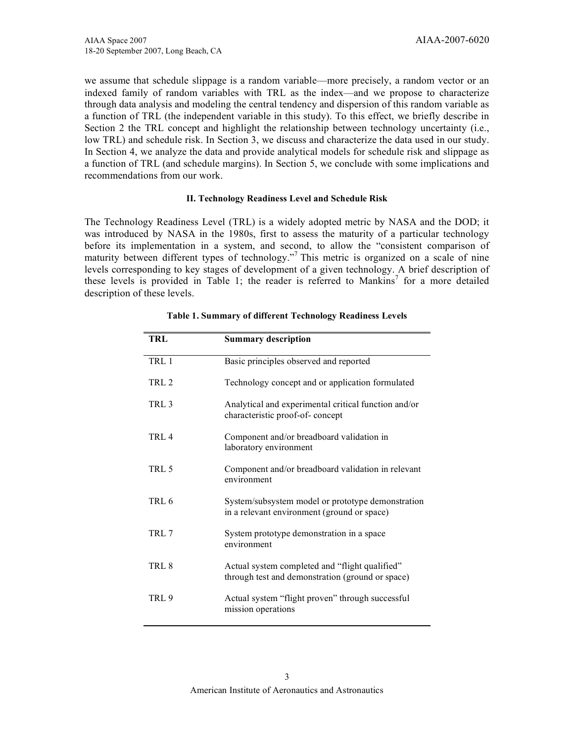we assume that schedule slippage is a random variable—more precisely, a random vector or an indexed family of random variables with TRL as the index—and we propose to characterize through data analysis and modeling the central tendency and dispersion of this random variable as a function of TRL (the independent variable in this study). To this effect, we briefly describe in Section 2 the TRL concept and highlight the relationship between technology uncertainty (i.e., low TRL) and schedule risk. In Section 3, we discuss and characterize the data used in our study. In Section 4, we analyze the data and provide analytical models for schedule risk and slippage as a function of TRL (and schedule margins). In Section 5, we conclude with some implications and recommendations from our work.

## **II. Technology Readiness Level and Schedule Risk**

The Technology Readiness Level (TRL) is a widely adopted metric by NASA and the DOD; it was introduced by NASA in the 1980s, first to assess the maturity of a particular technology before its implementation in a system, and second, to allow the "consistent comparison of maturity between different types of technology."<sup>7</sup> This metric is organized on a scale of nine levels corresponding to key stages of development of a given technology. A brief description of these levels is provided in Table 1; the reader is referred to Mankins<sup>7</sup> for a more detailed description of these levels.

| <b>TRL</b>       | <b>Summary description</b>                                                                         |
|------------------|----------------------------------------------------------------------------------------------------|
| TRL 1            | Basic principles observed and reported                                                             |
| TRL <sub>2</sub> | Technology concept and or application formulated                                                   |
| TRL <sub>3</sub> | Analytical and experimental critical function and/or<br>characteristic proof-of-concept            |
| TRL <sub>4</sub> | Component and/or breadboard validation in<br>laboratory environment                                |
| TRL <sub>5</sub> | Component and/or breadboard validation in relevant<br>environment                                  |
| TRL <sub>6</sub> | System/subsystem model or prototype demonstration<br>in a relevant environment (ground or space)   |
| TRL <sub>7</sub> | System prototype demonstration in a space<br>environment                                           |
| TRL <sub>8</sub> | Actual system completed and "flight qualified"<br>through test and demonstration (ground or space) |
| TRL <sub>9</sub> | Actual system "flight proven" through successful<br>mission operations                             |

### **Table 1. Summary of different Technology Readiness Levels**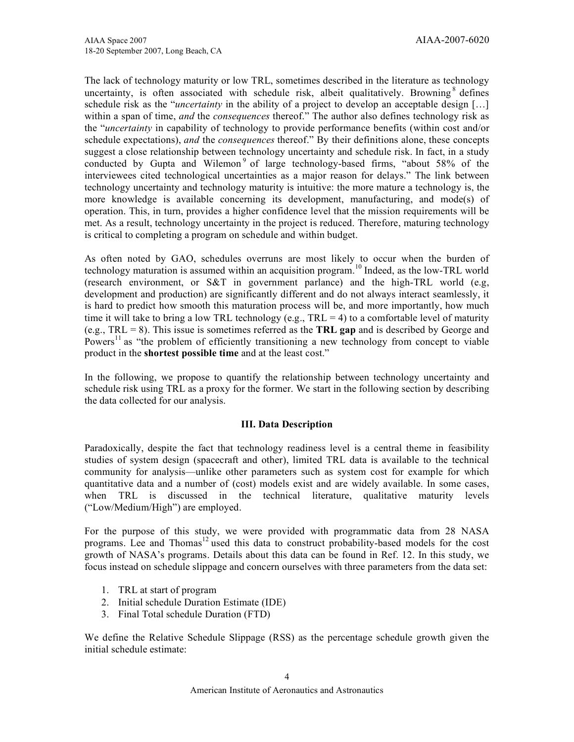The lack of technology maturity or low TRL, sometimes described in the literature as technology uncertainty, is often associated with schedule risk, albeit qualitatively. Browning  $8$  defines schedule risk as the "*uncertainty* in the ability of a project to develop an acceptable design […] within a span of time, *and* the *consequences* thereof." The author also defines technology risk as the "*uncertainty* in capability of technology to provide performance benefits (within cost and/or schedule expectations), *and* the *consequences* thereof." By their definitions alone, these concepts suggest a close relationship between technology uncertainty and schedule risk. In fact, in a study conducted by Gupta and Wilemon<sup>9</sup> of large technology-based firms, "about 58% of the interviewees cited technological uncertainties as a major reason for delays." The link between technology uncertainty and technology maturity is intuitive: the more mature a technology is, the more knowledge is available concerning its development, manufacturing, and mode(s) of operation. This, in turn, provides a higher confidence level that the mission requirements will be met. As a result, technology uncertainty in the project is reduced. Therefore, maturing technology is critical to completing a program on schedule and within budget.

As often noted by GAO, schedules overruns are most likely to occur when the burden of technology maturation is assumed within an acquisition program. <sup>10</sup> Indeed, as the low-TRL world (research environment, or S&T in government parlance) and the high-TRL world (e.g, development and production) are significantly different and do not always interact seamlessly, it is hard to predict how smooth this maturation process will be, and more importantly, how much time it will take to bring a low TRL technology (e.g., TRL  $=$  4) to a comfortable level of maturity (e.g.,  $TRL = 8$ ). This issue is sometimes referred as the **TRL gap** and is described by George and Powers<sup>11</sup> as "the problem of efficiently transitioning a new technology from concept to viable product in the **shortest possible time** and at the least cost."

In the following, we propose to quantify the relationship between technology uncertainty and schedule risk using TRL as a proxy for the former. We start in the following section by describing the data collected for our analysis.

# **III. Data Description**

Paradoxically, despite the fact that technology readiness level is a central theme in feasibility studies of system design (spacecraft and other), limited TRL data is available to the technical community for analysis—unlike other parameters such as system cost for example for which quantitative data and a number of (cost) models exist and are widely available. In some cases, when TRL is discussed in the technical literature, qualitative maturity levels ("Low/Medium/High") are employed.

For the purpose of this study, we were provided with programmatic data from 28 NASA programs. Lee and Thomas<sup>12</sup> used this data to construct probability-based models for the cost growth of NASA's programs. Details about this data can be found in Ref. 12. In this study, we focus instead on schedule slippage and concern ourselves with three parameters from the data set:

- 1. TRL at start of program
- 2. Initial schedule Duration Estimate (IDE)
- 3. Final Total schedule Duration (FTD)

We define the Relative Schedule Slippage (RSS) as the percentage schedule growth given the initial schedule estimate: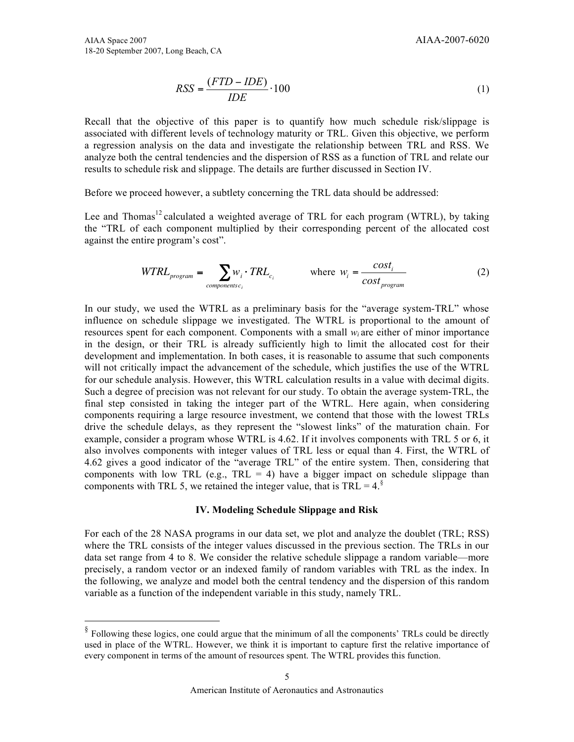$$
RSS = \frac{(FTD - IDE)}{IDE} \cdot 100\tag{1}
$$

Recall that the objective of this paper is to quantify how much schedule risk/slippage is associated with different levels of technology maturity or TRL. Given this objective, we perform a regression analysis on the data and investigate the relationship between TRL and RSS. We analyze both the central tendencies and the dispersion of RSS as a function of TRL and relate our results to schedule risk and slippage. The details are further discussed in Section IV.

Before we proceed however, a subtlety concerning the TRL data should be addressed:

Lee and Thomas<sup>12</sup> calculated a weighted average of TRL for each program (WTRL), by taking the "TRL of each component multiplied by their corresponding percent of the allocated cost against the entire program's cost".

$$
WTRL_{program} = \sum_{components_{i}} w_{i} \cdot TRL_{c_{i}} \qquad \text{where } w_{i} = \frac{cost_{i}}{cost_{program}} \qquad (2)
$$

resources spent for each component. Components with a small  $w_i$  are either of minor importance In our study, we used the WTRL as a preliminary basis for the "average system-TRL" whose influence on schedule slippage we investigated. The WTRL is proportional to the amount of in the design, or their TRL is already sufficiently high to limit the allocated cost for their development and implementation. In both cases, it is reasonable to assume that such components will not critically impact the advancement of the schedule, which justifies the use of the WTRL for our schedule analysis. However, this WTRL calculation results in a value with decimal digits. Such a degree of precision was not relevant for our study. To obtain the average system-TRL, the final step consisted in taking the integer part of the WTRL. Here again, when considering components requiring a large resource investment, we contend that those with the lowest TRLs drive the schedule delays, as they represent the "slowest links" of the maturation chain. For example, consider a program whose WTRL is 4.62. If it involves components with TRL 5 or 6, it also involves components with integer values of TRL less or equal than 4. First, the WTRL of 4.62 gives a good indicator of the "average TRL" of the entire system. Then, considering that components with low TRL (e.g., TRL  $=$  4) have a bigger impact on schedule slippage than components with TRL 5, we retained the integer value, that is  $TRL = 4$ .<sup>§</sup>

## **IV. Modeling Schedule Slippage and Risk**

For each of the 28 NASA programs in our data set, we plot and analyze the doublet (TRL; RSS) where the TRL consists of the integer values discussed in the previous section. The TRLs in our data set range from 4 to 8. We consider the relative schedule slippage a random variable—more precisely, a random vector or an indexed family of random variables with TRL as the index. In the following, we analyze and model both the central tendency and the dispersion of this random variable as a function of the independent variable in this study, namely TRL.

 $\frac{1}{2}$  Following these logics, one could argue that the minimum of all the components' TRLs could be directly used in place of the WTRL. However, we think it is important to capture first the relative importance of every component in terms of the amount of resources spent. The WTRL provides this function.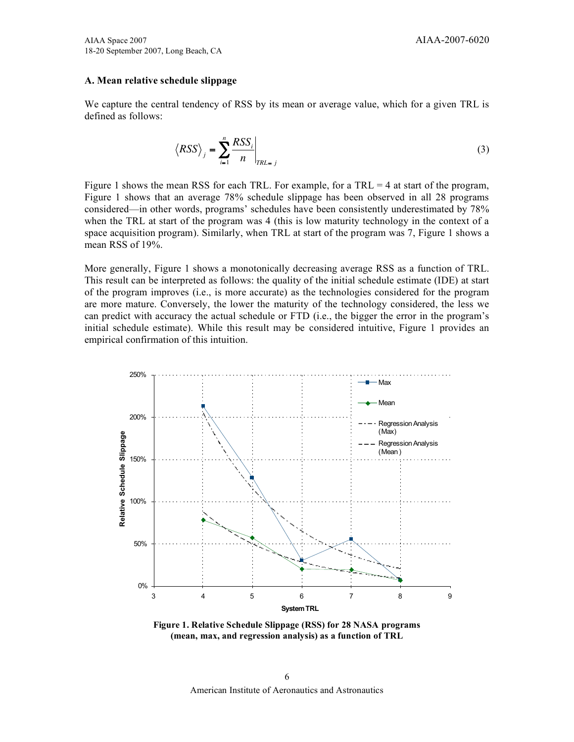#### **A. Mean relative schedule slippage**

We capture the central tendency of RSS by its mean or average value, which for a given TRL is defined as follows:

$$
\langle RSS \rangle_j = \sum_{i=1}^n \frac{RSS_i}{n} \bigg|_{\text{TRL}=j} \tag{3}
$$

! considered—in other words, programs' schedules have been consistently underestimated by 78% Figure 1 shows the mean RSS for each TRL. For example, for a TRL  $=$  4 at start of the program, Figure 1 shows that an average 78% schedule slippage has been observed in all 28 programs when the TRL at start of the program was 4 (this is low maturity technology in the context of a space acquisition program). Similarly, when TRL at start of the program was 7, Figure 1 shows a mean RSS of 19%.

More generally, Figure 1 shows a monotonically decreasing average RSS as a function of TRL. This result can be interpreted as follows: the quality of the initial schedule estimate (IDE) at start of the program improves (i.e., is more accurate) as the technologies considered for the program are more mature. Conversely, the lower the maturity of the technology considered, the less we can predict with accuracy the actual schedule or FTD (i.e., the bigger the error in the program's initial schedule estimate). While this result may be considered intuitive, Figure 1 provides an empirical confirmation of this intuition.



**Figure 1. Relative Schedule Slippage (RSS) for 28 NASA programs (mean, max, and regression analysis) as a function of TRL**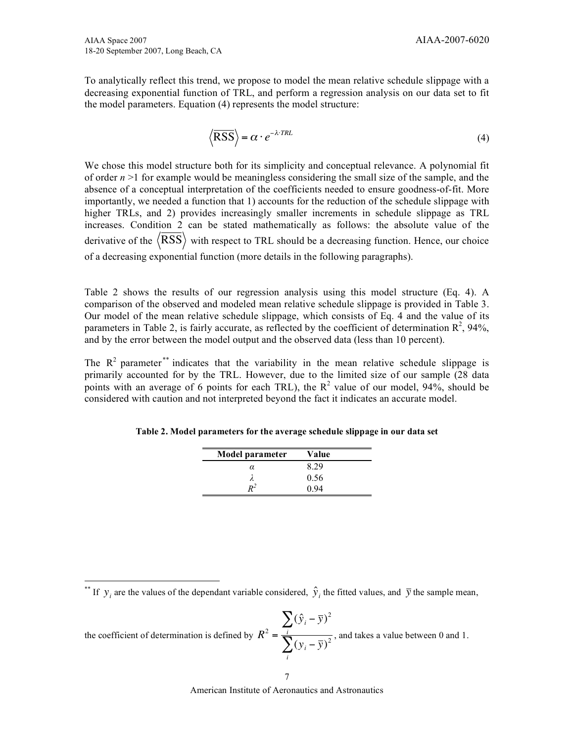To analytically reflect this trend, we propose to model the mean relative schedule slippage with a decreasing exponential function of TRL, and perform a regression analysis on our data set to fit the model parameters. Equation (4) represents the model structure:

$$
\langle \overline{RSS} \rangle = \alpha \cdot e^{-\lambda \cdot TRL} \tag{4}
$$

absence of a conceptual interpretation of the coefficients needed to ensure goodness-of-fit. More We chose this model structure both for its simplicity and conceptual relevance. A polynomial fit of order  $n > 1$  for example would be meaningless considering the small size of the sample, and the importantly, we needed a function that 1) accounts for the reduction of the schedule slippage with higher TRLs, and 2) provides increasingly smaller increments in schedule slippage as TRL increases. Condition 2 can be stated mathematically as follows: the absolute value of the derivative of the  $\langle \text{RSS} \rangle$  with respect to TRL should be a decreasing function. Hence, our choice of a decreasing exponential function (more details in the following paragraphs).

Table 2 shows the results of our regression analysis using this model structure (Eq. 4). A comparison of the observed and modeled mean relative schedule slippage is provided in Table 3. Our model of the mean relative schedule slippage, which consists of Eq. 4 and the value of its parameters in Table 2, is fairly accurate, as reflected by the coefficient of determination  $\mathbb{R}^2$ , 94%, and by the error between the model output and the observed data (less than 10 percent).

The  $\mathbb{R}^2$  parameter<sup>\*\*</sup> indicates that the variability in the mean relative schedule slippage is primarily accounted for by the TRL. However, due to the limited size of our sample (28 data points with an average of 6 points for each TRL), the  $R^2$  value of our model, 94%, should be considered with caution and not interpreted beyond the fact it indicates an accurate model.

| Table 2. Model parameters for the average schedule slippage in our data set |  |  |  |
|-----------------------------------------------------------------------------|--|--|--|
|-----------------------------------------------------------------------------|--|--|--|

| <b>Model parameter</b> | Value |  |
|------------------------|-------|--|
| α                      | 8.29  |  |
|                        | 0.56  |  |
| n2                     |       |  |

<sup>\*\*</sup> If  $y_i$  are the values of the dependant variable considered,  $\hat{y}_i$  the fitted values, and  $\bar{y}$  the sample mean,

the coefficient of determination is defined by  $R^2 = \frac{i}{\sum (y_i - \overline{y})^2}$ , and take  $(\hat{y}_i - \overline{y})^2$ *i* #  $(y_i - \overline{y})^2$  $\sum_{i}^{i} (y_i - \overline{y})^2$ , and takes a value between 0 and 1.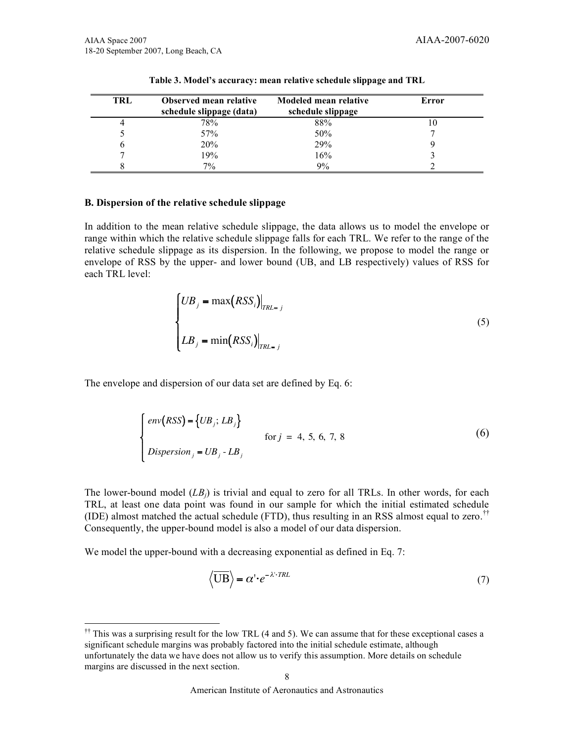| <b>TRL</b> | <b>Observed mean relative</b><br>schedule slippage (data) | Modeled mean relative<br>schedule slippage | Error |
|------------|-----------------------------------------------------------|--------------------------------------------|-------|
|            | 78%                                                       | 88%                                        | 10    |
|            | 57%                                                       | 50%                                        |       |
| n          | 20%                                                       | 29%                                        |       |
|            | 19%                                                       | 16%                                        |       |
|            | $7\%$                                                     | 9%                                         |       |

**Table 3. Model's accuracy: mean relative schedule slippage and TRL**

## **B. Dispersion of the relative schedule slippage**

In addition to the mean relative schedule slippage, the data allows us to model the envelope or range within which the relative schedule slippage falls for each TRL. We refer to the range of the relative schedule slippage as its dispersion. In the following, we propose to model the range or envelope of RSS by the upper- and lower bound (UB, and LB respectively) values of RSS for each TRL level:

$$
\begin{cases}\nUB_j = \max(RSS_i)|_{TRL-j} \\
LB_j = \min(RSS_i)|_{TRL-j}\n\end{cases} \tag{5}
$$

The envelope and dispersion of our data set are defined by Eq. 6:

$$
\begin{cases}\n\text{env}\left(RSS\right) = \left\{UB_j; LB_j\right\} & \text{for } j = 4, 5, 6, 7, 8 \\
\text{Disperson}_j = UB_j - LB_j & \text{for } j = 4, 5, 6, 7, 8\n\end{cases} \tag{6}
$$

TRL, at least one data point was found in our sample for which the initial estimated schedule The lower-bound model  $(LB_i)$  is trivial and equal to zero for all TRLs. In other words, for each (IDE) almost matched the actual schedule (FTD), thus resulting in an RSS almost equal to zero. †† Consequently, the upper-bound model is also a model of our data dispersion.

We model the upper-bound with a decreasing exponential as defined in Eq. 7:

$$
\langle \overline{\text{UB}} \rangle = \alpha^{\text{T}} \cdot e^{-\lambda^{\text{T}} \cdot \text{TRL}} \tag{7}
$$

<sup>&</sup>lt;sup>††</sup> This was a surprising result for the low TRL (4 and 5). We can assume that for these exceptional cases a significant schedule margins was probably factored into the initial schedule estimate, although unfortunately the data we have does not allow us to verify this assumption. More details on schedule margins are discussed in the next section.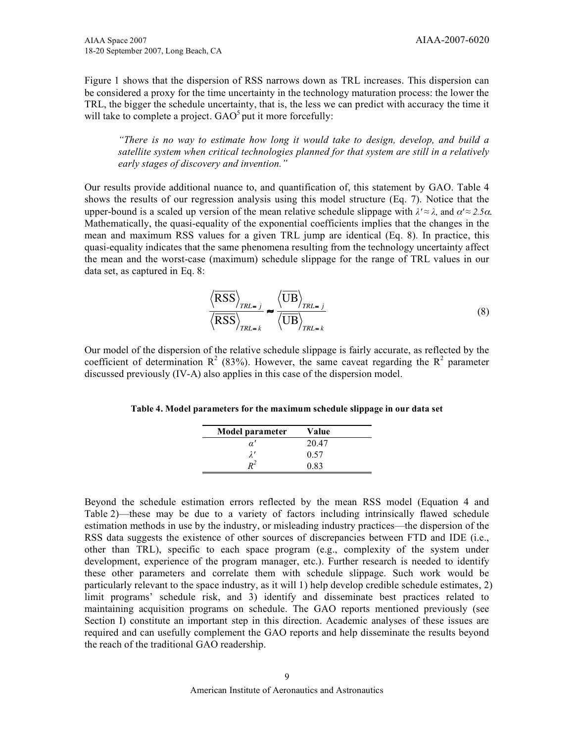Figure 1 shows that the dispersion of RSS narrows down as TRL increases. This dispersion can be considered a proxy for the time uncertainty in the technology maturation process: the lower the TRL, the bigger the schedule uncertainty, that is, the less we can predict with accuracy the time it will take to complete a project.  $GAO<sup>5</sup>$  put it more forcefully:

*"There is no way to estimate how long it would take to design, develop, and build a satellite system when critical technologies planned for that system are still in a relatively early stages of discovery and invention."*

Our results provide additional nuance to, and quantification of, this statement by GAO. Table 4 shows the results of our regression analysis using this model structure (Eq. 7). Notice that the upper-bound is a scaled up version of the mean relative schedule slippage with  $\lambda' \approx \lambda$ , and  $\alpha' \approx 2.5\alpha$ . Mathematically, the quasi-equality of the exponential coefficients implies that the changes in the mean and maximum RSS values for a given TRL jump are identical (Eq. 8). In practice, this quasi-equality indicates that the same phenomena resulting from the technology uncertainty affect the mean and the worst-case (maximum) schedule slippage for the range of TRL values in our data set, as captured in Eq. 8:

$$
\frac{\langle \overline{\text{RSS}} \rangle_{\text{TRL} = j}}{\langle \overline{\text{RSS}} \rangle_{\text{TRL} = k}} \approx \frac{\langle \overline{\text{UB}} \rangle_{\text{TRL} = j}}{\langle \overline{\text{UB}} \rangle_{\text{TRL} = k}}
$$
(8)

discussed previously (IV-A) also applies in this case of the dispersion model. Our model of the dispersion of the relative schedule slippage is fairly accurate, as reflected by the coefficient of determination  $\mathbb{R}^2$  (83%). However, the same caveat regarding the  $\mathbb{R}^2$  parameter

| <b>Model parameter</b> | Value |
|------------------------|-------|
| $\alpha$               | 20.47 |
| λ'                     | 0.57  |
|                        | 0.83  |

**Table 4. Model parameters for the maximum schedule slippage in our data set**

Beyond the schedule estimation errors reflected by the mean RSS model (Equation 4 and Table 2)—these may be due to a variety of factors including intrinsically flawed schedule estimation methods in use by the industry, or misleading industry practices—the dispersion of the RSS data suggests the existence of other sources of discrepancies between FTD and IDE (i.e., other than TRL), specific to each space program (e.g., complexity of the system under development, experience of the program manager, etc.). Further research is needed to identify these other parameters and correlate them with schedule slippage. Such work would be particularly relevant to the space industry, as it will 1) help develop credible schedule estimates, 2) limit programs' schedule risk, and 3) identify and disseminate best practices related to maintaining acquisition programs on schedule. The GAO reports mentioned previously (see Section I) constitute an important step in this direction. Academic analyses of these issues are required and can usefully complement the GAO reports and help disseminate the results beyond the reach of the traditional GAO readership.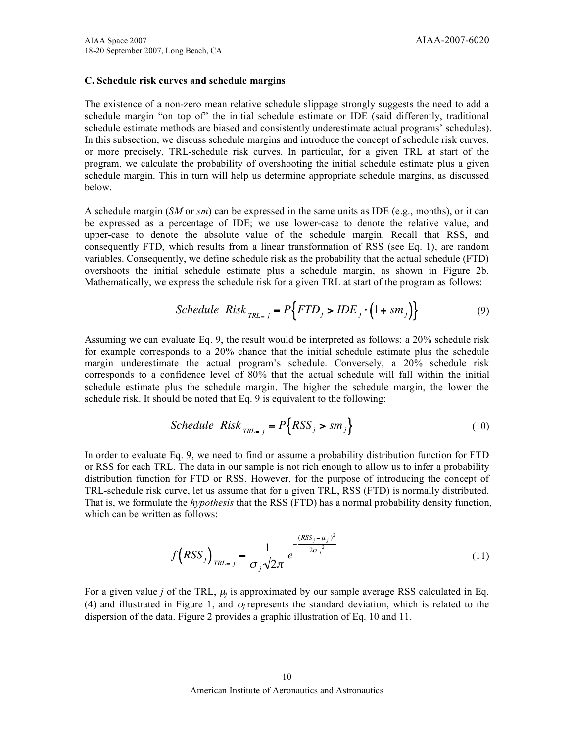## **C. Schedule risk curves and schedule margins**

The existence of a non-zero mean relative schedule slippage strongly suggests the need to add a schedule margin "on top of" the initial schedule estimate or IDE (said differently, traditional schedule estimate methods are biased and consistently underestimate actual programs' schedules). In this subsection, we discuss schedule margins and introduce the concept of schedule risk curves, or more precisely, TRL-schedule risk curves. In particular, for a given TRL at start of the program, we calculate the probability of overshooting the initial schedule estimate plus a given schedule margin. This in turn will help us determine appropriate schedule margins, as discussed below.

A schedule margin (*SM* or *sm*) can be expressed in the same units as IDE (e.g., months), or it can be expressed as a percentage of IDE; we use lower-case to denote the relative value, and upper-case to denote the absolute value of the schedule margin. Recall that RSS, and consequently FTD, which results from a linear transformation of RSS (see Eq. 1), are random variables. Consequently, we define schedule risk as the probability that the actual schedule (FTD) overshoots the initial schedule estimate plus a schedule margin, as shown in Figure 2b. Mathematically, we express the schedule risk for a given TRL at start of the program as follows:

$$
Schedule \operatorname{Risk}|_{\operatorname{TRL}=j} = P\Big\{\operatorname{FTD}_j > \operatorname{IDE}_j \cdot \Big(1 + \operatorname{sm}_j\Big)\Big\} \tag{9}
$$

margin underestimate the actual program's schedule. Conversely, a 20% schedule risk Assuming we can evaluate Eq. 9, the result would be interpreted as follows: a 20% schedule risk for example corresponds to a 20% chance that the initial schedule estimate plus the schedule corresponds to a confidence level of 80% that the actual schedule will fall within the initial schedule estimate plus the schedule margin. The higher the schedule margin, the lower the schedule risk. It should be noted that Eq. 9 is equivalent to the following:

$$
Schedule \operatorname{Risk}|_{\text{TRL}=j} = P\left\{\text{RSS}_{j} > \text{sm}_{j}\right\} \tag{10}
$$

distribution function for FTD or RSS. However, for the purpose of introducing the concept of In order to evaluate Eq. 9, we need to find or assume a probability distribution function for FTD or RSS for each TRL. The data in our sample is not rich enough to allow us to infer a probability TRL-schedule risk curve, let us assume that for a given TRL, RSS (FTD) is normally distributed. That is, we formulate the *hypothesis* that the RSS (FTD) has a normal probability density function, which can be written as follows:

$$
f\left(RSS_j\right)\Big|_{TRL=j} = \frac{1}{\sigma_j \sqrt{2\pi}} e^{-\frac{(RSS_j - \mu_j)^2}{2\sigma_j^2}}
$$
(11)

! dispersion of the data. Figure 2 provides a graphic illustration of Eq. 10 and 11.For a given value *j* of the TRL,  $\mu_i$  is approximated by our sample average RSS calculated in Eq. (4) and illustrated in Figure 1, and  $\sigma_i$  represents the standard deviation, which is related to the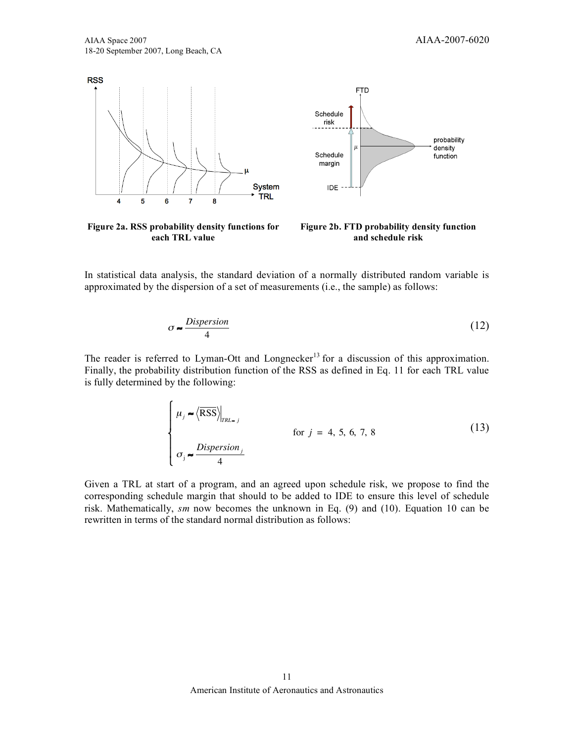

**Figure 2a. RSS probability density functions for each TRL value**



**Figure 2b. FTD probability density function and schedule risk**

In statistical data analysis, the standard deviation of a normally distributed random variable is approximated by the dispersion of a set of measurements (i.e., the sample) as follows:

$$
\sigma \approx \frac{Disperson}{4} \tag{12}
$$

! is fully determined by the following: The reader is referred to Lyman-Ott and Longnecker<sup>13</sup> for a discussion of this approximation. Finally, the probability distribution function of the RSS as defined in Eq. 11 for each TRL value

$$
\begin{cases}\n\mu_j \approx \left\langle \overline{\text{RSS}} \right\rangle_{\text{TRL-}j} & \text{for } j = 4, 5, 6, 7, 8 \\
\sigma_j \approx \frac{\text{Disperson}_j}{4}\n\end{cases}
$$
\n(13)

! risk. Mathematically, *sm* now becomes the unknown in Eq. (9) and (10). Equation 10 can be Given a TRL at start of a program, and an agreed upon schedule risk, we propose to find the corresponding schedule margin that should to be added to IDE to ensure this level of schedule rewritten in terms of the standard normal distribution as follows: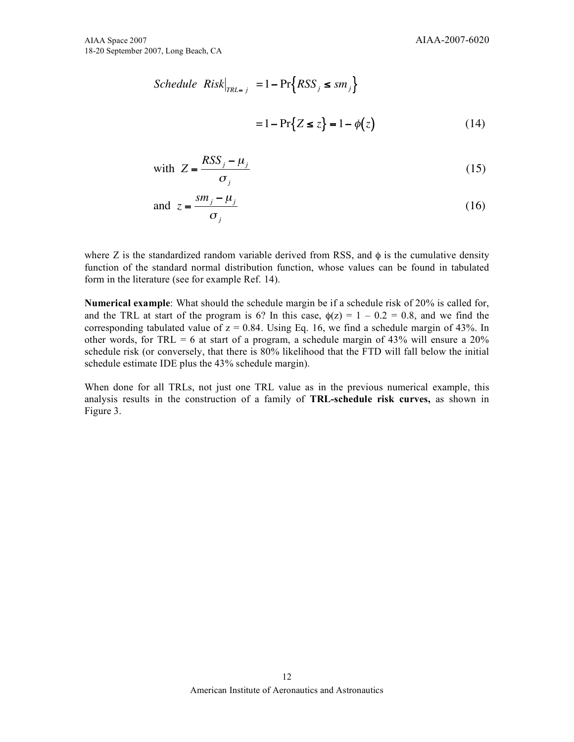Schedule Risk
$$
|_{RLL=j}
$$
 = 1 – Pr $\{RSS_j \le sm_j\}$   
= 1 – Pr $\{Z \le z\}$  = 1 –  $\phi(z)$  (14)

with 
$$
Z = \frac{RSS_j - \mu_j}{\sigma_j}
$$
 (15)

and 
$$
z = \frac{sm_j - \mu_j}{\sigma_j} \tag{16}
$$

function of the standard normal distribution function, whose values can be found in tabulated where Z is the standardized random variable derived from RSS, and  $\phi$  is the cumulative density form in the literature (see for example Ref. 14).

**Numerical example**: What should the schedule margin be if a schedule risk of 20% is called for, and the TRL at start of the program is 6? In this case,  $\phi(z) = 1 - 0.2 = 0.8$ , and we find the corresponding tabulated value of  $z = 0.84$ . Using Eq. 16, we find a schedule margin of 43%. In other words, for TRL = 6 at start of a program, a schedule margin of  $43\%$  will ensure a  $20\%$ schedule risk (or conversely, that there is 80% likelihood that the FTD will fall below the initial schedule estimate IDE plus the 43% schedule margin).

When done for all TRLs, not just one TRL value as in the previous numerical example, this analysis results in the construction of a family of **TRL-schedule risk curves,** as shown in Figure 3.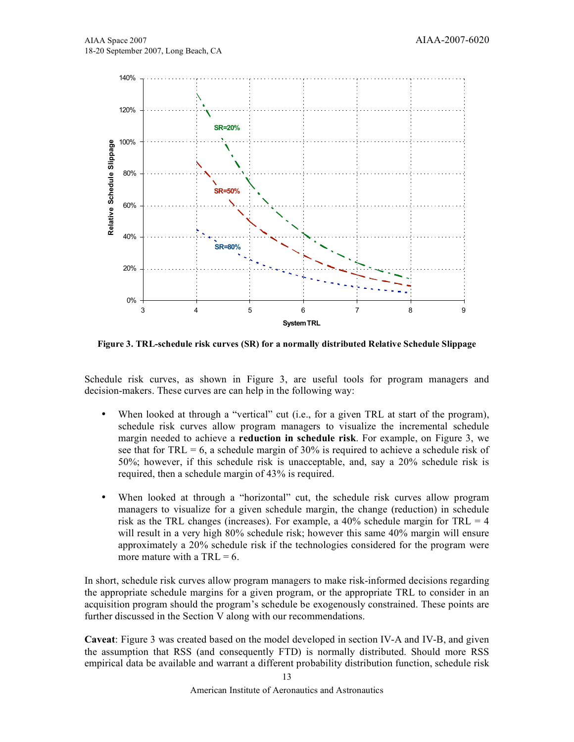

**Figure 3. TRL-schedule risk curves (SR) for a normally distributed Relative Schedule Slippage**

Schedule risk curves, as shown in Figure 3, are useful tools for program managers and decision-makers. These curves are can help in the following way:

- When looked at through a "vertical" cut (i.e., for a given TRL at start of the program), schedule risk curves allow program managers to visualize the incremental schedule margin needed to achieve a **reduction in schedule risk**. For example, on Figure 3, we see that for TRL = 6, a schedule margin of  $30\%$  is required to achieve a schedule risk of 50%; however, if this schedule risk is unacceptable, and, say a 20% schedule risk is required, then a schedule margin of 43% is required.
- When looked at through a "horizontal" cut, the schedule risk curves allow program managers to visualize for a given schedule margin, the change (reduction) in schedule risk as the TRL changes (increases). For example, a 40% schedule margin for TRL = 4 will result in a very high 80% schedule risk; however this same 40% margin will ensure approximately a 20% schedule risk if the technologies considered for the program were more mature with a TRL  $= 6$ .

In short, schedule risk curves allow program managers to make risk-informed decisions regarding the appropriate schedule margins for a given program, or the appropriate TRL to consider in an acquisition program should the program's schedule be exogenously constrained. These points are further discussed in the Section V along with our recommendations.

**Caveat**: Figure 3 was created based on the model developed in section IV-A and IV-B, and given the assumption that RSS (and consequently FTD) is normally distributed. Should more RSS empirical data be available and warrant a different probability distribution function, schedule risk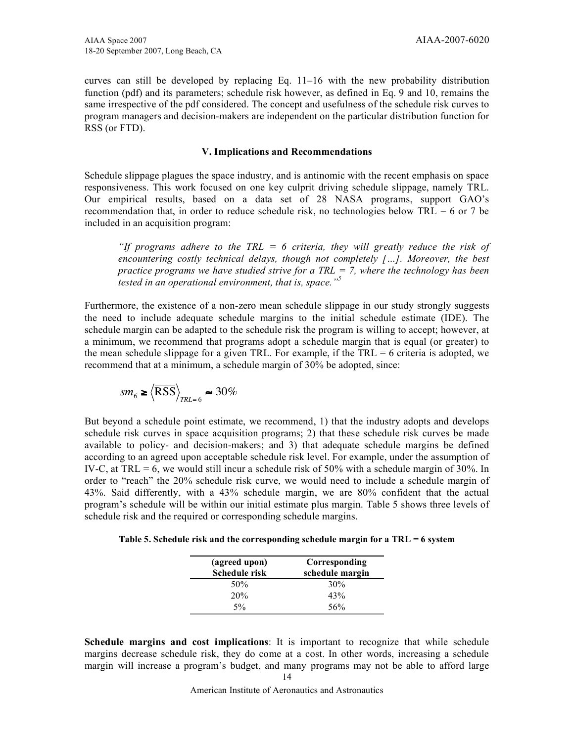curves can still be developed by replacing Eq. 11–16 with the new probability distribution function (pdf) and its parameters; schedule risk however, as defined in Eq. 9 and 10, remains the same irrespective of the pdf considered. The concept and usefulness of the schedule risk curves to program managers and decision-makers are independent on the particular distribution function for RSS (or FTD).

# **V. Implications and Recommendations**

Schedule slippage plagues the space industry, and is antinomic with the recent emphasis on space responsiveness. This work focused on one key culprit driving schedule slippage, namely TRL. Our empirical results, based on a data set of 28 NASA programs, support GAO's recommendation that, in order to reduce schedule risk, no technologies below TRL = 6 or 7 be included in an acquisition program:

*"If programs adhere to the TRL = 6 criteria, they will greatly reduce the risk of encountering costly technical delays, though not completely […]. Moreover, the best practice programs we have studied strive for a TRL = 7, where the technology has been tested in an operational environment, that is, space."5*

Furthermore, the existence of a non-zero mean schedule slippage in our study strongly suggests the need to include adequate schedule margins to the initial schedule estimate (IDE). The schedule margin can be adapted to the schedule risk the program is willing to accept; however, at a minimum, we recommend that programs adopt a schedule margin that is equal (or greater) to the mean schedule slippage for a given TRL. For example, if the TRL  $= 6$  criteria is adopted, we recommend that at a minimum, a schedule margin of 30% be adopted, since:

$$
sm_{6} \geq \left< \overline{\text{RSS}} \right>_{\text{TRL=6}} \approx 30\%
$$

But beyond a schedule point estimate, we recommend, 1) that the industry adopts and develops schedule risk curves in space acquisition programs; 2) that these schedule risk curves be made available to policy- and decision-makers; and 3) that adequate schedule margins be defined according to an agreed upon acceptable schedule risk level. For example, under the assumption of IV-C, at TRL = 6, we would still incur a schedule risk of  $50\%$  with a schedule margin of  $30\%$ . In order to "reach" the 20% schedule risk curve, we would need to include a schedule margin of 43%. Said differently, with a 43% schedule margin, we are 80% confident that the actual program's schedule will be within our initial estimate plus margin. Table 5 shows three levels of schedule risk and the required or corresponding schedule margins.

**Table 5. Schedule risk and the corresponding schedule margin for a TRL = 6 system**

| (agreed upon)<br><b>Schedule risk</b> | Corresponding<br>schedule margin |  |
|---------------------------------------|----------------------------------|--|
| 50%                                   | 30%                              |  |
| 20%                                   | 43%                              |  |
| 5%                                    | 56%                              |  |

**Schedule margins and cost implications**: It is important to recognize that while schedule margins decrease schedule risk, they do come at a cost. In other words, increasing a schedule margin will increase a program's budget, and many programs may not be able to afford large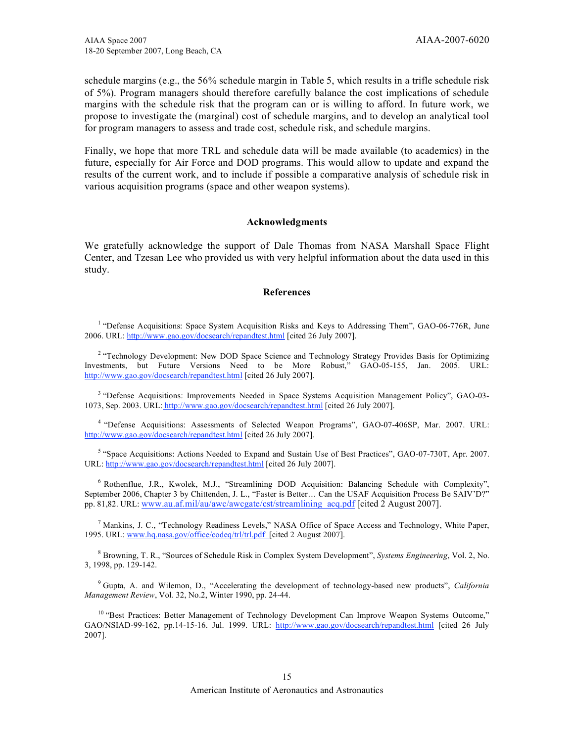schedule margins (e.g., the 56% schedule margin in Table 5, which results in a trifle schedule risk of 5%). Program managers should therefore carefully balance the cost implications of schedule margins with the schedule risk that the program can or is willing to afford. In future work, we propose to investigate the (marginal) cost of schedule margins, and to develop an analytical tool for program managers to assess and trade cost, schedule risk, and schedule margins.

Finally, we hope that more TRL and schedule data will be made available (to academics) in the future, especially for Air Force and DOD programs. This would allow to update and expand the results of the current work, and to include if possible a comparative analysis of schedule risk in various acquisition programs (space and other weapon systems).

### **Acknowledgments**

We gratefully acknowledge the support of Dale Thomas from NASA Marshall Space Flight Center, and Tzesan Lee who provided us with very helpful information about the data used in this study.

### **References**

<sup>1</sup> "Defense Acquisitions: Space System Acquisition Risks and Keys to Addressing Them", GAO-06-776R, June 2006. URL: http://www.gao.gov/docsearch/repandtest.html [cited 26 July 2007].

<sup>2</sup> "Technology Development: New DOD Space Science and Technology Strategy Provides Basis for Optimizing Investments, but Future Versions Need to be More Robust," GAO-05-155, Jan. 2005. URL: http://www.gao.gov/docsearch/repandtest.html [cited 26 July 2007].

<sup>3</sup> "Defense Acquisitions: Improvements Needed in Space Systems Acquisition Management Policy", GAO-03-1073, Sep. 2003. URL: http://www.gao.gov/docsearch/repandtest.html [cited 26 July 2007].

<sup>4</sup> "Defense Acquisitions: Assessments of Selected Weapon Programs", GAO-07-406SP, Mar. 2007. URL: http://www.gao.gov/docsearch/repandtest.html [cited 26 July 2007].

<sup>5</sup> "Space Acquisitions: Actions Needed to Expand and Sustain Use of Best Practices", GAO-07-730T, Apr. 2007. URL: http://www.gao.gov/docsearch/repandtest.html [cited 26 July 2007].

<sup>6</sup> Rothenflue, J.R., Kwolek, M.J., "Streamlining DOD Acquisition: Balancing Schedule with Complexity", September 2006, Chapter 3 by Chittenden, J. L., "Faster is Better… Can the USAF Acquisition Process Be SAIV'D?" pp. 81,82. URL: www.au.af.mil/au/awc/awcgate/cst/streamlining\_acq.pdf [cited 2 August 2007].

<sup>7</sup> Mankins, J. C., "Technology Readiness Levels," NASA Office of Space Access and Technology, White Paper, 1995. URL: www.hq.nasa.gov/office/codeq/trl/trl.pdf [cited 2 August 2007].

<sup>8</sup> Browning, T. R., "Sources of Schedule Risk in Complex System Development", *Systems Engineering*, Vol. 2, No. 3, 1998, pp. 129-142.

<sup>9</sup> Gupta, A. and Wilemon, D., "Accelerating the development of technology-based new products", *California Management Review*, Vol. 32, No.2, Winter 1990, pp. 24-44.

<sup>10</sup> "Best Practices: Better Management of Technology Development Can Improve Weapon Systems Outcome," GAO/NSIAD-99-162, pp.14-15-16. Jul. 1999. URL: http://www.gao.gov/docsearch/repandtest.html [cited 26 July 2007].